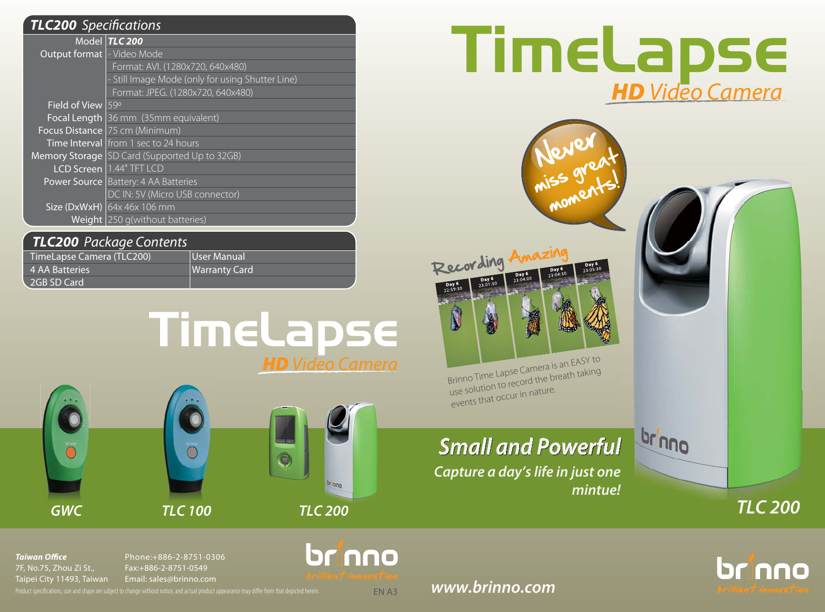| <b>TLC200</b> Specifications      |                                                  |  |
|-----------------------------------|--------------------------------------------------|--|
|                                   | Model TLC 200                                    |  |
| <b>Output format - Video Mode</b> |                                                  |  |
|                                   | Format: AVI. (1280x720, 640x480)                 |  |
|                                   | - Still Image Mode (only for using Shutter Line) |  |
|                                   | Format: JPEG. (1280x720, 640x480)                |  |
| Field of View 59°                 |                                                  |  |
|                                   | Focal Length 36 mm (35mm equivalent)             |  |
|                                   | Focus Distance 75 cm (Minimum)                   |  |
|                                   | Time Interval from 1 sec to 24 hours             |  |
|                                   | Memory Storage SD Card (Supported Up to 32GB)    |  |
|                                   | <b>LCD Screen</b> 1.44" TFT LCD                  |  |
|                                   | <b>Power Source   Battery: 4 AA Batteries</b>    |  |
|                                   | DC IN: 5V (Micro USB connector)                  |  |
|                                   | Size (DxWxH) $\left  64x\right  46x$ 106 mm      |  |
|                                   | Weight 250 g(without batteries)                  |  |

## *TLC200* Package Contents

| TimeLapse Camera (TLC200) | User Manual          |
|---------------------------|----------------------|
| 4 AA Batteries            | <b>Warranty Card</b> |
| 2GB SD Card               |                      |







# $\normalsize \textbf{H} \textbf{D} \textbf{D} \textbf{S} \textbf{E}$



*Taiwan Office*7F, No.75, Zhou Zi St., Taipei City 11493, Taiwan Phone:+886-2-8751-0306Fax:+886-2-8751-0549Email: sales@brinno.com

Product specifications, size and shape are subject to change without notice, and actual product appearance may differ from that depicted herein.

*www.brinno.com*

EN A3

brinno